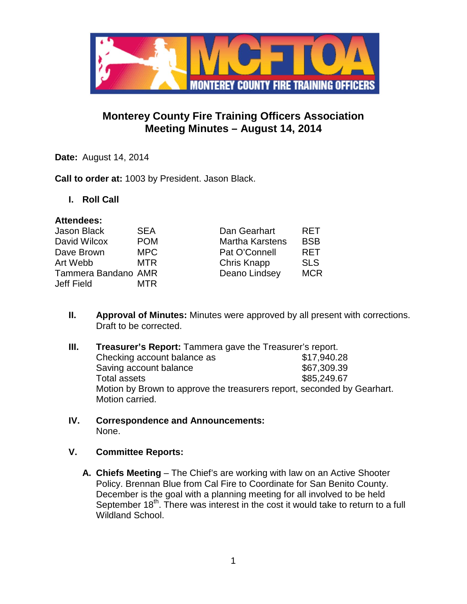

# **Monterey County Fire Training Officers Association Meeting Minutes – August 14, 2014**

**Date:** August 14, 2014

**Call to order at:** 1003 by President. Jason Black.

**I. Roll Call**

#### **Attendees:**

| Jason Black         | <b>SEA</b> | Dan Gearhart           | <b>RFT</b> |
|---------------------|------------|------------------------|------------|
| David Wilcox        | <b>POM</b> | <b>Martha Karstens</b> | <b>BSB</b> |
| Dave Brown          | MPC        | Pat O'Connell          | <b>RET</b> |
| Art Webb            | <b>MTR</b> | <b>Chris Knapp</b>     | <b>SLS</b> |
| Tammera Bandano AMR |            | Deano Lindsey          | <b>MCR</b> |
| Jeff Field          | MTR        |                        |            |

- **II. Approval of Minutes:** Minutes were approved by all present with corrections. Draft to be corrected.
- **III. Treasurer's Report:** Tammera gave the Treasurer's report.<br>**17,940.28** Checking account balance as Checking account balance as Saving account balance \$67,309.39 Total assets \$85,249.67 Motion by Brown to approve the treasurers report, seconded by Gearhart. Motion carried.
- **IV. Correspondence and Announcements:** None.

#### **V. Committee Reports:**

**A. Chiefs Meeting** – The Chief's are working with law on an Active Shooter Policy. Brennan Blue from Cal Fire to Coordinate for San Benito County. December is the goal with a planning meeting for all involved to be held September  $18<sup>th</sup>$ . There was interest in the cost it would take to return to a full Wildland School.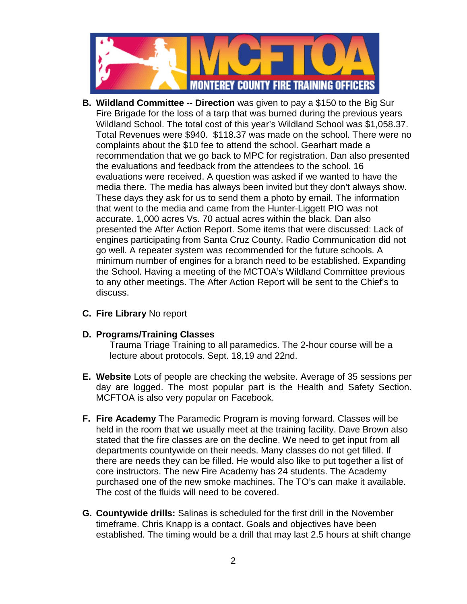

- **B. Wildland Committee -- Direction** was given to pay a \$150 to the Big Sur Fire Brigade for the loss of a tarp that was burned during the previous years Wildland School. The total cost of this year's Wildland School was \$1,058.37. Total Revenues were \$940. \$118.37 was made on the school. There were no complaints about the \$10 fee to attend the school. Gearhart made a recommendation that we go back to MPC for registration. Dan also presented the evaluations and feedback from the attendees to the school. 16 evaluations were received. A question was asked if we wanted to have the media there. The media has always been invited but they don't always show. These days they ask for us to send them a photo by email. The information that went to the media and came from the Hunter-Liggett PIO was not accurate. 1,000 acres Vs. 70 actual acres within the black. Dan also presented the After Action Report. Some items that were discussed: Lack of engines participating from Santa Cruz County. Radio Communication did not go well. A repeater system was recommended for the future schools. A minimum number of engines for a branch need to be established. Expanding the School. Having a meeting of the MCTOA's Wildland Committee previous to any other meetings. The After Action Report will be sent to the Chief's to discuss.
- **C. Fire Library** No report

#### **D. Programs/Training Classes**

Trauma Triage Training to all paramedics. The 2-hour course will be a lecture about protocols. Sept. 18,19 and 22nd.

- **E. Website** Lots of people are checking the website. Average of 35 sessions per day are logged. The most popular part is the Health and Safety Section. MCFTOA is also very popular on Facebook.
- **F. Fire Academy** The Paramedic Program is moving forward. Classes will be held in the room that we usually meet at the training facility. Dave Brown also stated that the fire classes are on the decline. We need to get input from all departments countywide on their needs. Many classes do not get filled. If there are needs they can be filled. He would also like to put together a list of core instructors. The new Fire Academy has 24 students. The Academy purchased one of the new smoke machines. The TO's can make it available. The cost of the fluids will need to be covered.
- **G. Countywide drills:** Salinas is scheduled for the first drill in the November timeframe. Chris Knapp is a contact. Goals and objectives have been established. The timing would be a drill that may last 2.5 hours at shift change